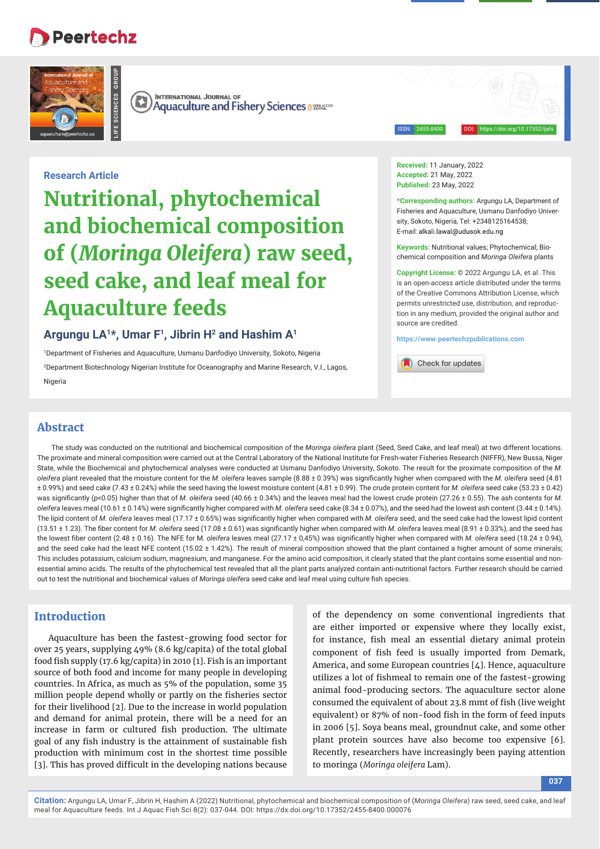# **Peertechz**

**LIFE SCIENCES GROUP**



**INTERNATIONAL JOURNAL OF**  $\left(\mathbb{R}\right)$ **Aquaculture and Fishery Sciences assessed Aquaculture and Fishery Sciences** 

ISSN: 2455-8400 DOI: https://doi.org/10.17352/ijafs

**Received:** 11 January, 2022 **Accepted:** 21 May, 2022 **Published:** 23 May, 2022

**\*Corresponding authors:** Argungu LA, Department of Fisheries and Aquaculture, Usmanu Danfodiyo University, Sokoto, Nigeria, Tel: +2348125164538; E-mail: alkali.lawal@udusok.edu.ng

**Keywords:** Nutritional values; Phytochemical; Biochemical composition and *Moringa Oleifera* plants

**Copyright License:** © 2022 Argungu LA, et al. This is an open-access article distributed under the terms of the Creative Commons Attribution License, which permits unrestricted use, distribution, and reproduction in any medium, provided the original author and source are credited.

**https://www.peertechzpublications.com**

Check for updates

**Research Article**

**Nutritional, phytochemical and biochemical composition of (***Moringa Oleifera***) raw seed, seed cake, and leaf meal for Aquaculture feeds**

# **Argungu LA1\*, Umar F1, Jibrin H2 and Hashim A1**

1 Department of Fisheries and Aquaculture, Usmanu Danfodiyo University, Sokoto, Nigeria

2 Department Biotechnology Nigerian Institute for Oceanography and Marine Research, V.I., Lagos, Nigeria

# **Abstract**

The study was conducted on the nutritional and biochemical composition of the *Moringa oleifera* plant (Seed, Seed Cake, and leaf meal) at two different locations. The proximate and mineral composition were carried out at the Central Laboratory of the National Institute for Fresh-water Fisheries Research (NIFFR), New Bussa, Niger State, while the Biochemical and phytochemical analyses were conducted at Usmanu Danfodiyo University, Sokoto. The result for the proximate composition of the *M*. *oleifera* plant revealed that the moisture content for the *M. oleifera* leaves sample (8.88 ± 0.39%) was signifi cantly higher when compared with the *M. oleifera* seed (4.81 ± 0.99%) and seed cake (7.43 ± 0.24%) while the seed having the lowest moisture content (4.81 ± 0.99). The crude protein content for *M. oleifera* seed cake (53.23 ± 0.42) was significantly (p<0.05) higher than that of *M. oleifera* seed (40.66 ± 0.34%) and the leaves meal had the lowest crude protein (27.26 ± 0.55). The ash contents for *M. oleifera* leaves meal (10.61 ± 0.14%) were significantly higher compared with *M. oleifera* seed cake (8.34 ± 0.07%), and the seed had the lowest ash content (3.44 ± 0.14%). The lipid content of *M. oleifera* leaves meal (17.17 ± 0.65%) was significantly higher when compared with *M. oleifera* seed, and the seed cake had the lowest lipid content (13.51 ± 1.23). The fiber content for *M. oleifera* seed (17.08 ± 0.61) was significantly higher when compared with *M. oleifera* leaves meal (8.91 ± 0.33%), and the seed has the lowest fiber content (2.48 ± 0.16). The NFE for M. oleifera leaves meal (27.17 ± 0,45%) was significantly higher when compared with *M. oleifera* seed (18.24 ± 0.94), and the seed cake had the least NFE content (15.02 ± 1.42%). The result of mineral composition showed that the plant contained a higher amount of some minerals; This includes potassium, calcium sodium, magnesium, and manganese. For the amino acid composition, it clearly stated that the plant contains some essential and nonessential amino acids. The results of the phytochemical test revealed that all the plant parts analyzed contain anti-nutritional factors. Further research should be carried out to test the nutritional and biochemical values of *Moringa oleifera* seed cake and leaf meal using culture fish species.

# **Introduction**

Aquaculture has been the fastest-growing food sector for over 25 years, supplying 49% (8.6 kg/capita) of the total global food fish supply (17.6 kg/capita) in 2010 [1]. Fish is an important source of both food and income for many people in developing countries. In Africa, as much as 5% of the population, some 35 million people depend wholly or partly on the fisheries sector for their livelihood [2]. Due to the increase in world population and demand for animal protein, there will be a need for an increase in farm or cultured fish production. The ultimate goal of any fish industry is the attainment of sustainable fish production with minimum cost in the shortest time possible [3]. This has proved difficult in the developing nations because

of the dependency on some conventional ingredients that are either imported or expensive where they locally exist, for instance, fish meal an essential dietary animal protein component of fish feed is usually imported from Demark, America, and some European countries [4]. Hence, aquaculture utilizes a lot of fishmeal to remain one of the fastest-growing animal food-producing sectors. The aquaculture sector alone consumed the equivalent of about 23.8 mmt of fish (live weight equivalent) or 87% of non-food fish in the form of feed inputs in 2006 [5]. Soya beans meal, groundnut cake, and some other plant protein sources have also become too expensive [6]. Recently, researchers have increasingly been paying attention to moringa (*Moringa oleifera* Lam).

**037**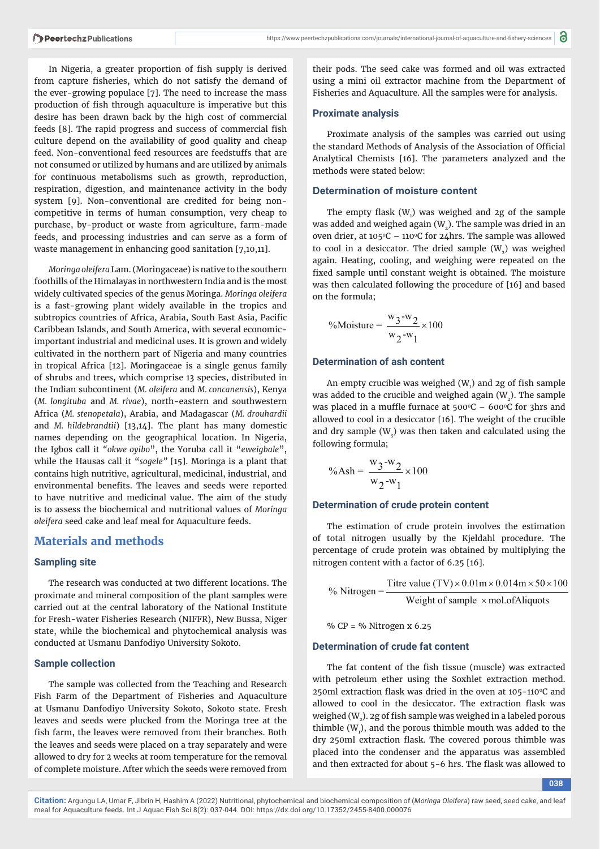In Nigeria, a greater proportion of fish supply is derived from capture fisheries, which do not satisfy the demand of the ever-growing populace [7]. The need to increase the mass production of fish through aquaculture is imperative but this desire has been drawn back by the high cost of commercial feeds [8]. The rapid progress and success of commercial fish culture depend on the availability of good quality and cheap feed. Non-conventional feed resources are feedstuffs that are not consumed or utilized by humans and are utilized by animals for continuous metabolisms such as growth, reproduction, respiration, digestion, and maintenance activity in the body system [9]. Non-conventional are credited for being noncompetitive in terms of human consumption, very cheap to purchase, by-product or waste from agriculture, farm-made feeds, and processing industries and can serve as a form of waste management in enhancing good sanitation [7,10,11].

*Moringa oleifera* Lam. (Moringaceae) is native to the southern foothills of the Himalayas in northwestern India and is the most widely cultivated species of the genus Moringa. *Moringa oleifera*  is a fast-growing plant widely available in the tropics and subtropics countries of Africa, Arabia, South East Asia, Pacific Caribbean Islands, and South America, with several economicimportant industrial and medicinal uses. It is grown and widely cultivated in the northern part of Nigeria and many countries in tropical Africa [12]. Moringaceae is a single genus family of shrubs and trees, which comprise 13 species, distributed in the Indian subcontinent (*M. oleifera* and *M. concanensis*), Kenya (*M. longituba* and *M. rivae*), north-eastern and southwestern Africa (*M. stenopetala*), Arabia, and Madagascar (*M. drouhardii* and *M. hildebrandtii*) [13,14]. The plant has many domestic names depending on the geographical location. In Nigeria, the Igbos call it *"okwe oyibo*", the Yoruba call it "*eweigbale*", while the Hausas call it "*sogele"* [15]. Moringa is a plant that contains high nutritive, agricultural, medicinal, industrial, and environmental benefits. The leaves and seeds were reported to have nutritive and medicinal value. The aim of the study is to assess the biochemical and nutritional values of *Moringa oleifera* seed cake and leaf meal for Aquaculture feeds.

# **Materials and methods**

## **Sampling site**

The research was conducted at two different locations. The proximate and mineral composition of the plant samples were carried out at the central laboratory of the National Institute for Fresh-water Fisheries Research (NIFFR), New Bussa, Niger state, while the biochemical and phytochemical analysis was conducted at Usmanu Danfodiyo University Sokoto.

## **Sample collection**

The sample was collected from the Teaching and Research Fish Farm of the Department of Fisheries and Aquaculture at Usmanu Danfodiyo University Sokoto, Sokoto state. Fresh leaves and seeds were plucked from the Moringa tree at the fish farm, the leaves were removed from their branches. Both the leaves and seeds were placed on a tray separately and were allowed to dry for 2 weeks at room temperature for the removal of complete moisture. After which the seeds were removed from

their pods. The seed cake was formed and oil was extracted using a mini oil extractor machine from the Department of Fisheries and Aquaculture. All the samples were for analysis.

## **Proximate analysis**

Proximate analysis of the samples was carried out using the standard Methods of Analysis of the Association of Official Analytical Chemists [16]. The parameters analyzed and the methods were stated below:

## **Determination of moisture content**

The empty flask  $(W<sub>1</sub>)$  was weighed and 2g of the sample was added and weighed again  $(W_2)$ . The sample was dried in an oven drier, at 105°C – 110°C for 24hrs. The sample was allowed to cool in a desiccator. The dried sample  $(W_2)$  was weighed again. Heating, cooling, and weighing were repeated on the fixed sample until constant weight is obtained. The moisture was then calculated following the procedure of [16] and based on the formula;

$$
\% \text{Moisture} = \frac{\text{w}_3 - \text{w}_2}{\text{w}_2 - \text{w}_1} \times 100
$$

## **Determination of ash content**

An empty crucible was weighed  $(W<sub>1</sub>)$  and 2g of fish sample was added to the crucible and weighed again  $(W_2)$ . The sample was placed in a muffle furnace at  $500^{\circ}$ C –  $600^{\circ}$ C for 3hrs and allowed to cool in a desiccator [16]. The weight of the crucible and dry sample ( $W<sub>3</sub>$ ) was then taken and calculated using the following formula;

$$
\% \text{Ash} = \frac{w_3 - w_2}{w_2 - w_1} \times 100
$$

## **Determination of crude protein content**

The estimation of crude protein involves the estimation of total nitrogen usually by the Kjeldahl procedure. The percentage of crude protein was obtained by multiplying the nitrogen content with a factor of 6.25 [16].

% Nitrogen =  $\frac{\text{Titre value (TV)} \times 0.01 \text{m} \times 0.014 \text{m} \times 50 \times 100}{\text{Weight of sample } \times \text{mol.ofAliquots}}$ Weight of sample  $\times$  mol. of Aliquots

%  $CP =$  % Nitrogen x 6.25

## **Determination of crude fat content**

The fat content of the fish tissue (muscle) was extracted with petroleum ether using the Soxhlet extraction method. 250ml extraction flask was dried in the oven at  $105-110$ <sup>o</sup>C and allowed to cool in the desiccator. The extraction flask was weighed  $(W_2)$ . 2g of fish sample was weighed in a labeled porous thimble  $(W_1)$ , and the porous thimble mouth was added to the dry 250ml extraction flask. The covered porous thimble was placed into the condenser and the apparatus was assembled and then extracted for about 5-6 hrs. The flask was allowed to

**Citation:** Argungu LA, Umar F, Jibrin H, Hashim A (2022) Nutritional, phytochemical and biochemical composition of (*Moringa Oleifera*) raw seed, seed cake, and leaf meal for Aquaculture feeds. Int J Aquac Fish Sci 8(2): 037-044. DOI: https://dx.doi.org/10.17352/2455-8400.000076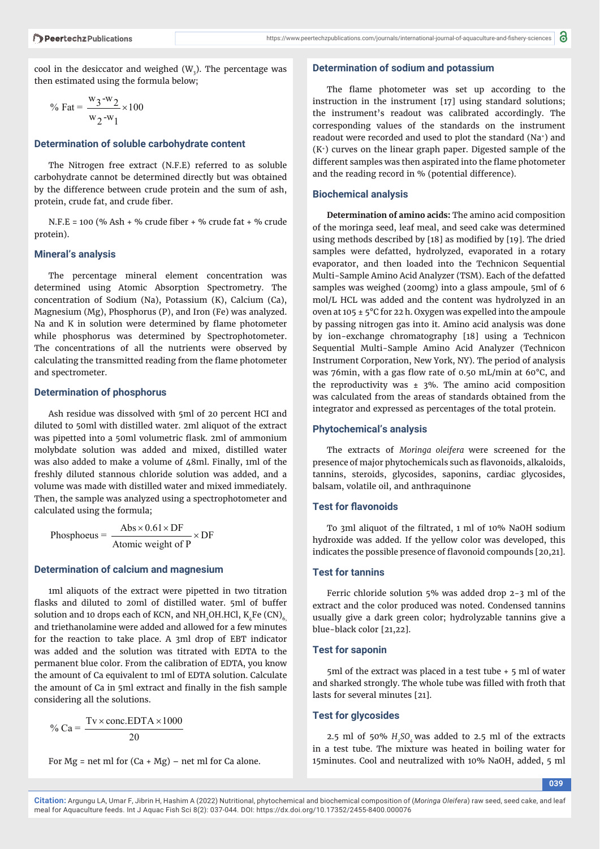cool in the desiccator and weighed (W $_{3}$ ). The percentage was then estimated using the formula below;

% Fat = 
$$
\frac{w_3-w_2}{w_2-w_1} \times 100
$$

#### **Determination of soluble carbohydrate content**

The Nitrogen free extract (N.F.E) referred to as soluble carbohydrate cannot be determined directly but was obtained by the difference between crude protein and the sum of ash, protein, crude fat, and crude fiber.

N.F.E = 100 (% Ash + % crude fiber + % crude fat + % crude protein).

#### **Mineral's analysis**

The percentage mineral element concentration was determined using Atomic Absorption Spectrometry. The concentration of Sodium (Na), Potassium (K), Calcium (Ca), Magnesium (Mg), Phosphorus (P), and Iron (Fe) was analyzed. Na and  $K$  in solution were determined by flame photometer while phosphorus was determined by Spectrophotometer. The concentrations of all the nutrients were observed by calculating the transmitted reading from the flame photometer and spectrometer.

#### **Determination of phosphorus**

Ash residue was dissolved with 5ml of 20 percent HCI and diluted to 50ml with distilled water. 2ml aliquot of the extract was pipetted into a 50ml volumetric flask. 2ml of ammonium molybdate solution was added and mixed, distilled water was also added to make a volume of  $\angle$ 8ml. Finally, 1ml of the freshly diluted stannous chloride solution was added, and a volume was made with distilled water and mixed immediately. Then, the sample was analyzed using a spectrophotometer and calculated using the formula;

 $Phosphoeus = \frac{Abs \times 0.61 \times DF}{EF} \times DF$ Atomic weight of P  $\times$  0.61  $\times$  DF  $\times$ 

#### **Determination of calcium and magnesium**

1ml aliquots of the extract were pipetted in two titration flasks and diluted to 20ml of distilled water. 5ml of buffer solution and 10 drops each of KCN, and NH\_OH.HCl, K.Fe (CN). and triethanolamine were added and allowed for a few minutes for the reaction to take place. A 3ml drop of EBT indicator was added and the solution was titrated with EDTA to the permanent blue color. From the calibration of EDTA, you know the amount of Ca equivalent to 1ml of EDTA solution. Calculate the amount of Ca in 5ml extract and finally in the fish sample considering all the solutions.

% Ca =  $\frac{\text{Tv} \times \text{conc.EDTA} \times 1000}{\text{Gauss}}$ 20  $\times$  conc. EDTA  $\times$ 

For  $Mg$  = net ml for  $(Ca + Mg)$  – net ml for Ca alone.

#### **Determination of sodium and potassium**

The flame photometer was set up according to the instruction in the instrument [17] using standard solutions; the instrument's readout was calibrated accordingly. The corresponding values of the standards on the instrument readout were recorded and used to plot the standard (Na+) and  $(K<sup>+</sup>)$  curves on the linear graph paper. Digested sample of the different samples was then aspirated into the flame photometer and the reading record in % (potential difference).

#### **Biochemical analysis**

**Determination of amino acids:** The amino acid composition of the moringa seed, leaf meal, and seed cake was determined using methods described by [18] as modified by [19]. The dried samples were defatted, hydrolyzed, evaporated in a rotary evaporator, and then loaded into the Technicon Sequential Multi-Sample Amino Acid Analyzer (TSM). Each of the defatted samples was weighed (200mg) into a glass ampoule, 5ml of 6 mol/L HCL was added and the content was hydrolyzed in an oven at 105 ± 5°C for 22 h. Oxygen was expelled into the ampoule by passing nitrogen gas into it. Amino acid analysis was done by ion-exchange chromatography [18] using a Technicon Sequential Multi-Sample Amino Acid Analyzer (Technicon Instrument Corporation, New York, NY). The period of analysis was 76min, with a gas flow rate of 0.50 mL/min at  $60^{\circ}$ C, and the reproductivity was  $\pm$  3%. The amino acid composition was calculated from the areas of standards obtained from the integrator and expressed as percentages of the total protein.

#### **Phytochemical's analysis**

The extracts of *Moringa oleifera* were screened for the presence of major phytochemicals such as flavonoids, alkaloids, tannins, steroids, glycosides, saponins, cardiac glycosides, balsam, volatile oil, and anthraquinone

#### **Test for flavonoids**

To 3ml aliquot of the filtrated, 1 ml of 10% NaOH sodium hydroxide was added. If the yellow color was developed, this indicates the possible presence of flavonoid compounds [20,21].

#### **Test for tannins**

Ferric chloride solution 5% was added drop 2-3 ml of the extract and the color produced was noted. Condensed tannins usually give a dark green color; hydrolyzable tannins give a blue-black color [21,22].

#### **Test for saponin**

5ml of the extract was placed in a test tube + 5 ml of water and sharked strongly. The whole tube was filled with froth that lasts for several minutes [21].

#### **Test for glycosides**

2.5 ml of 50%  $H$ <sub>2</sub>SO<sub>4</sub> was added to 2.5 ml of the extracts in a test tube. The mixture was heated in boiling water for 15minutes. Cool and neutralized with 10% NaOH, added, 5 ml

**039**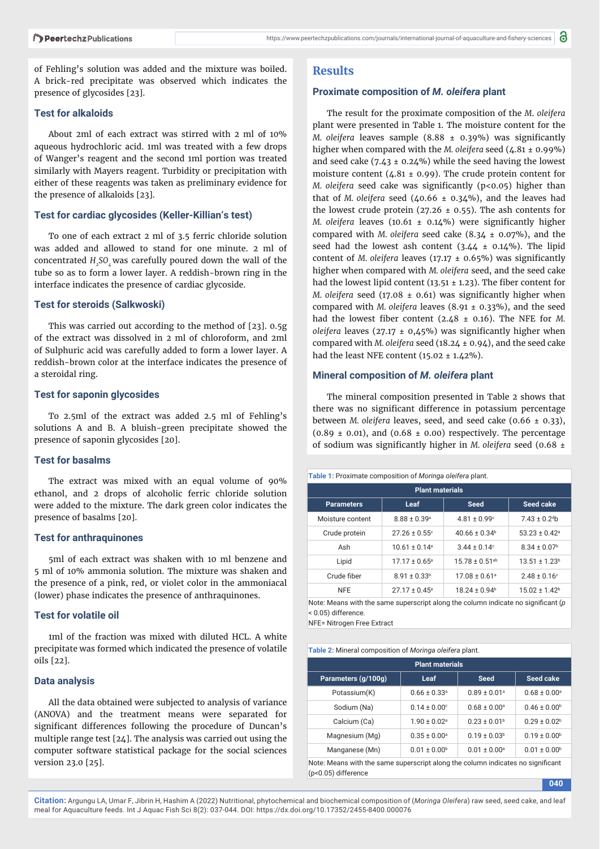of Fehling's solution was added and the mixture was boiled. A brick-red precipitate was observed which indicates the presence of glycosides [23].

#### **Test for alkaloids**

About 2ml of each extract was stirred with 2 ml of 10% aqueous hydrochloric acid. 1ml was treated with a few drops of Wanger's reagent and the second 1ml portion was treated similarly with Mayers reagent. Turbidity or precipitation with either of these reagents was taken as preliminary evidence for the presence of alkaloids [23].

#### **Test for cardiac glycosides (Keller-Killian's test)**

To one of each extract 2 ml of 3.5 ferric chloride solution was added and allowed to stand for one minute. 2 ml of concentrated *H<sub>2</sub>SO<sub>1</sub>* was carefully poured down the wall of the tube so as to form a lower layer. A reddish-brown ring in the interface indicates the presence of cardiac glycoside.

#### **Test for steroids (Salkwoski)**

This was carried out according to the method of [23]. 0.5g of the extract was dissolved in 2 ml of chloroform, and 2ml of Sulphuric acid was carefully added to form a lower layer. A reddish-brown color at the interface indicates the presence of a steroidal ring.

#### **Test for saponin glycosides**

To 2.5ml of the extract was added 2.5 ml of Fehling's solutions A and B. A bluish-green precipitate showed the presence of saponin glycosides [20].

## **Test for basalms**

The extract was mixed with an equal volume of 90% ethanol, and 2 drops of alcoholic ferric chloride solution were added to the mixture. The dark green color indicates the presence of basalms [20].

#### **Test for anthraquinones**

5ml of each extract was shaken with 10 ml benzene and 5 ml of 10% ammonia solution. The mixture was shaken and the presence of a pink, red, or violet color in the ammoniacal (lower) phase indicates the presence of anthraquinones.

#### **Test for volatile oil**

1ml of the fraction was mixed with diluted HCL. A white precipitate was formed which indicated the presence of volatile oils [22].

#### **Data analysis**

All the data obtained were subjected to analysis of variance (ANOVA) and the treatment means were separated for significant differences following the procedure of Duncan's multiple range test [24]. The analysis was carried out using the computer software statistical package for the social sciences version 23.0 [25].

#### **Results**

#### **Proximate composition of** *M. oleifera* **plant**

The result for the proximate composition of the *M*. *oleifera* plant were presented in Table 1. The moisture content for the *M. oleifera* leaves sample (8.88 ± 0.39%) was significantly higher when compared with the *M. oleifera* seed (4.81 ± 0.99%) and seed cake  $(7.43 \pm 0.24\%)$  while the seed having the lowest moisture content (4.81  $\pm$  0.99). The crude protein content for *M. oleifera* seed cake was significantly (p<0.05) higher than that of *M. oleifera* seed  $(40.66 \pm 0.34\%)$ , and the leaves had the lowest crude protein (27.26  $\pm$  0.55). The ash contents for *M. oleifera* leaves  $(10.61 \pm 0.14\%)$  were significantly higher compared with *M. oleifera* seed cake (8.34 ± 0.07%), and the seed had the lowest ash content  $(3.44 \pm 0.14\%)$ . The lipid content of *M. oleifera* leaves (17.17 ± 0.65%) was significantly higher when compared with *M. oleifera* seed, and the seed cake had the lowest lipid content (13.51  $\pm$  1.23). The fiber content for *M. oleifera* seed (17.08 ± 0.61) was significantly higher when compared with *M. oleifera* leaves (8.91 ± 0.33%), and the seed had the lowest fiber content  $(2.48 \pm 0.16)$ . The NFE for *M*. *oleifera* leaves (27.17  $\pm$  0,45%) was significantly higher when compared with *M. oleifera* seed (18.24 ± 0.94), and the seed cake had the least NFE content  $(15.02 \pm 1.42\%)$ .

#### **Mineral composition of** *M. oleifera* **plant**

The mineral composition presented in Table 2 shows that there was no significant difference in potassium percentage between *M. oleifera* leaves, seed, and seed cake (0.66 ± 0.33),  $(0.89 \pm 0.01)$ , and  $(0.68 \pm 0.00)$  respectively. The percentage of sodium was significantly higher in *M. oleifera* seed (0.68 ±

#### **Table 1:** Proximate composition of *Moringa oleifera* plant.

| <b>Plant materials</b> |                               |                                |                               |  |  |  |
|------------------------|-------------------------------|--------------------------------|-------------------------------|--|--|--|
| <b>Parameters</b>      | Leaf                          | <b>Seed</b>                    | Seed cake                     |  |  |  |
| Moisture content       | $8.88 \pm 0.39$ <sup>a</sup>  | $4.81 \pm 0.99$ <sup>c</sup>   | $7.43 \pm 0.24$               |  |  |  |
| Crude protein          | $27.26 \pm 0.55$ <sup>c</sup> | $40.66 \pm 0.34$ <sup>b</sup>  | $53.23 \pm 0.42$ <sup>a</sup> |  |  |  |
| Ash                    | $10.61 + 0.14$ <sup>a</sup>   | $3.44 + 0.14$ c                | $8.34 \pm 0.07$ <sup>b</sup>  |  |  |  |
| Lipid                  | $17.17 \pm 0.65$ <sup>a</sup> | $15.78 \pm 0.51$ <sup>ab</sup> | $13.51 \pm 1.23^b$            |  |  |  |
| Crude fiber            | $8.91 \pm 0.33^b$             | $17.08 \pm 0.61$ <sup>a</sup>  | $2.48 \pm 0.16^{\circ}$       |  |  |  |
| <b>NFE</b>             | $27.17 \pm 0.45$ <sup>a</sup> | $18.24 \pm 0.94$ <sup>b</sup>  | $15.02 \pm 1.42$ <sup>b</sup> |  |  |  |

Note: Means with the same superscript along the column indicate no significant (*p* < 0.05) difference.

NFE= Nitrogen Free Extract

**Table 2:** Mineral composition of *Moringa oleifera* plant.

| <b>Plant materials</b>                                                                                 |                              |                              |                              |  |  |
|--------------------------------------------------------------------------------------------------------|------------------------------|------------------------------|------------------------------|--|--|
| Parameters (g/100g)                                                                                    | Leaf                         | <b>Seed</b>                  | Seed cake                    |  |  |
| Potassium(K)                                                                                           | $0.66 \pm 0.33$ <sup>a</sup> | $0.89 \pm 0.01$ <sup>a</sup> | $0.68 \pm 0.00$ <sup>a</sup> |  |  |
| Sodium (Na)                                                                                            | $0.14 \pm 0.00$ <sup>c</sup> | $0.68 \pm 0.00^{\circ}$      | $0.46 \pm 0.00$ <sup>b</sup> |  |  |
| Calcium (Ca)                                                                                           | $1.90 \pm 0.02$ <sup>a</sup> | $0.23 \pm 0.01^b$            | $0.29 \pm 0.02^b$            |  |  |
| Magnesium (Mg)                                                                                         | $0.35 \pm 0.00^{\circ}$      | $0.19 \pm 0.03^b$            | $0.19 \pm 0.00^{\circ}$      |  |  |
| Manganese (Mn)                                                                                         | $0.01 \pm 0.00^b$            | $0.01 \pm 0.00^{\circ}$      | $0.01 \pm 0.00$ <sup>b</sup> |  |  |
| Note: Means with the same superscript along the column indicates no significant<br>(p<0.05) difference |                              |                              |                              |  |  |

**040**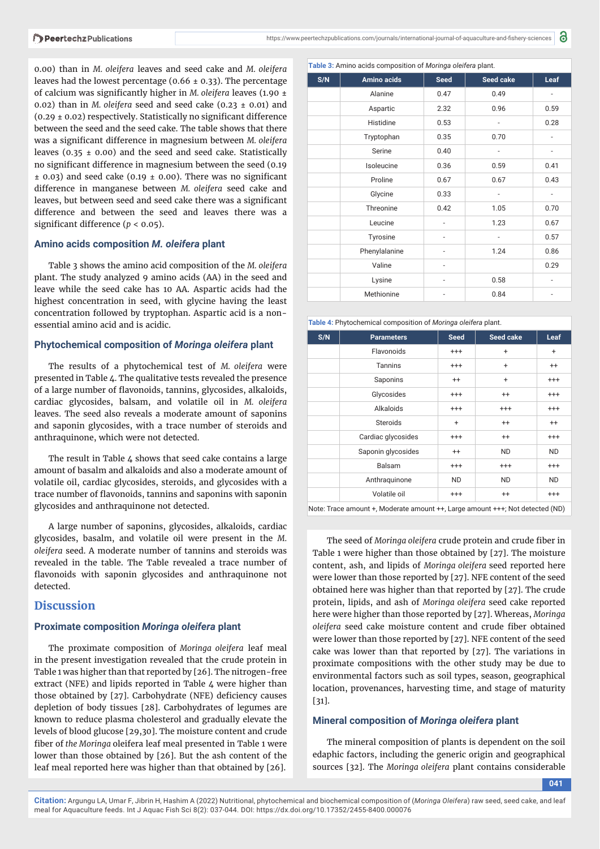0.00) than in *M. oleifera* leaves and seed cake and *M. oleifera* leaves had the lowest percentage ( $0.66 \pm 0.33$ ). The percentage of calcium was significantly higher in *M. oleifera leaves* (1.90 ± 0.02) than in *M. oleifera* seed and seed cake  $(0.23 \pm 0.01)$  and  $(0.29 \pm 0.02)$  respectively. Statistically no significant difference between the seed and the seed cake. The table shows that there was a significant difference in magnesium between *M. oleifera* leaves (0.35  $\pm$  0.00) and the seed and seed cake. Statistically no significant difference in magnesium between the seed (0.19)  $\pm$  0.03) and seed cake (0.19  $\pm$  0.00). There was no significant difference in manganese between *M. oleifera* seed cake and leaves, but between seed and seed cake there was a significant difference and between the seed and leaves there was a significant difference ( $p < 0.05$ ).

#### **Amino acids composition** *M. oleifera* **plant**

Table 3 shows the amino acid composition of the *M. oleifera* plant. The study analyzed 9 amino acids (AA) in the seed and leave while the seed cake has 10 AA. Aspartic acids had the highest concentration in seed, with glycine having the least concentration followed by tryptophan. Aspartic acid is a nonessential amino acid and is acidic.

#### **Phytochemical composition of** *Moringa oleifera* **plant**

The results of a phytochemical test of *M. oleifera* were presented in Table 4. The qualitative tests revealed the presence of a large number of flavonoids, tannins, glycosides, alkaloids, cardiac glycosides, balsam, and volatile oil in *M. oleifera* leaves. The seed also reveals a moderate amount of saponins and saponin glycosides, with a trace number of steroids and anthraquinone, which were not detected.

The result in Table 4 shows that seed cake contains a large amount of basalm and alkaloids and also a moderate amount of volatile oil, cardiac glycosides, steroids, and glycosides with a trace number of flavonoids, tannins and saponins with saponin glycosides and anthraquinone not detected.

A large number of saponins, glycosides, alkaloids, cardiac glycosides, basalm, and volatile oil were present in the *M. oleifera* seed. A moderate number of tannins and steroids was revealed in the table. The Table revealed a trace number of flavonoids with saponin glycosides and anthraquinone not detected.

## **Discussion**

# **Proximate composition Moringa oleifera plant**

The proximate composition of Moringa oleifera leaf meal in the present investigation revealed that the crude protein in Table 1 was higher than that reported by [26]. The nitrogen-free extract (NFE) and lipids reported in Table 4 were higher than those obtained by [27]. Carbohydrate (NFE) deficiency causes depletion of body tissues [28]. Carbohydrates of legumes are known to reduce plasma cholesterol and gradually elevate the levels of blood glucose [29,30]. The moisture content and crude fiber of the Moringa oleifera leaf meal presented in Table 1 were lower than those obtained by [26]. But the ash content of the leaf meal reported here was higher than that obtained by [26].

| Table 3: Amino acids composition of Moringa oleifera plant. |               |                |                              |                              |  |
|-------------------------------------------------------------|---------------|----------------|------------------------------|------------------------------|--|
| S/N                                                         | Amino acids   | <b>Seed</b>    | Seed cake                    | Leaf                         |  |
|                                                             | Alanine       | 0.47           | 0.49                         |                              |  |
|                                                             | Aspartic      | 2.32           | 0.96                         | 0.59                         |  |
|                                                             | Histidine     | 0.53           |                              | 0.28                         |  |
|                                                             | Tryptophan    | 0.35           | 0.70                         |                              |  |
|                                                             | Serine        | 0.40           | $\qquad \qquad \blacksquare$ | $\qquad \qquad \blacksquare$ |  |
|                                                             | Isoleucine    | 0.36           | 0.59                         | 0.41                         |  |
|                                                             | Proline       | 0.67           | 0.67                         | 0.43                         |  |
|                                                             | Glycine       | 0.33           |                              |                              |  |
|                                                             | Threonine     | 0.42           | 1.05                         | 0.70                         |  |
|                                                             | Leucine       |                | 1.23                         | 0.67                         |  |
|                                                             | Tyrosine      | $\overline{a}$ | $\overline{\phantom{0}}$     | 0.57                         |  |
|                                                             | Phenylalanine |                | 1.24                         | 0.86                         |  |
|                                                             | Valine        |                |                              | 0.29                         |  |
|                                                             | Lysine        |                | 0.58                         |                              |  |
|                                                             | Methionine    |                | 0.84                         |                              |  |

**Table 4:** Phytochemical composition of *Moringa oleifera* plant.

| S/N | <b>Parameters</b>  | <b>Seed</b> | Seed cake | Leaf      |
|-----|--------------------|-------------|-----------|-----------|
|     | Flavonoids         | $^{+++}$    | $\ddot{}$ | $\ddot{}$ |
|     | Tannins            | $^{++}$     | $\ddot{}$ | $^{++}$   |
|     | Saponins           | $^{++}$     | $\ddot{}$ | $^{++}$   |
|     | Glycosides         | $^{+++}$    | $^{++}$   | $^{++}$   |
|     | Alkaloids          | $^{++}$     | $^{+++}$  | $^{++}$   |
|     | <b>Steroids</b>    | $\ddot{}$   | $^{++}$   | $^{++}$   |
|     | Cardiac glycosides | $^{++}$     | $^{++}$   | $^{++}$   |
|     | Saponin glycosides | $^{++}$     | <b>ND</b> | <b>ND</b> |
|     | Balsam             | $^{++}$     | $^{+++}$  | $^{+++}$  |
|     | Anthraquinone      | <b>ND</b>   | <b>ND</b> | <b>ND</b> |
|     | Volatile oil       | $^{+++}$    | $^{++}$   | $^{++}$   |

Note: Trace amount +, Moderate amount ++, Large amount +++; Not detected (ND)

The seed of *Moringa oleifera* crude protein and crude fiber in Table 1 were higher than those obtained by [27]. The moisture content, ash, and lipids of *Moringa oleifera* seed reported here were lower than those reported by [27]. NFE content of the seed obtained here was higher than that reported by [27]. The crude pro tein, lipids, and ash of *Moringa oleifera* seed cake reported here were higher than those reported by [27]. Whereas, *Moringa oleifera* seed cake moisture content and crude fiber obtained were lower than those reported by [27]. NFE content of the seed cake was lower than that reported by [27]. The variations in proximate compositions with the other study may be due to environmental factors such as soil types, season, geographical location, provenances, harvesting time, and stage of maturity [31].

#### **Mineral composition of** *Moringa oleifera* **plant**

The mineral composition of plants is dependent on the soil edaphic factors, including the generic origin and geographical sources [32]. The *Moringa oleifera* plant contains considerable

**041**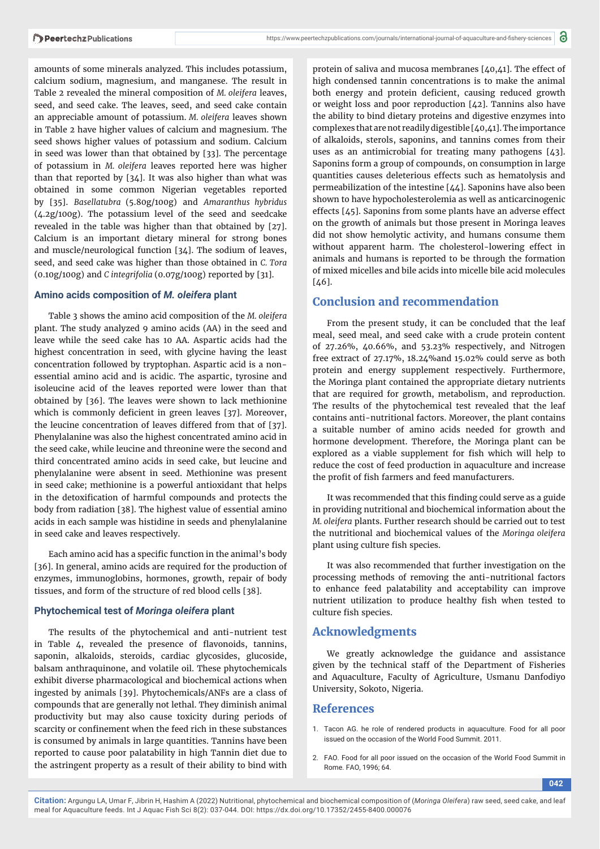amounts of some minerals analyzed. This includes potassium, calcium sodium, magnesium, and manganese. The result in Table 2 revealed the mineral composition of *M. oleifera* leaves, seed, and seed cake. The leaves, seed, and seed cake contain an appreciable amount of potassium. *M. oleifera* leaves shown in Table 2 have higher values of calcium and magnesium. The seed shows higher values of potassium and sodium. Calcium in seed was lower than that obtained by [33]. The percentage of potassium in *M. ole ifera* leaves reported here was higher than that reported by [34]. It was also higher than what was obtained in some common Nigerian vegetables reported by [35]. *Basellatubra* (5.80g/100g) and *Amaranthus hybridus*  (4.2g/100g). The potassium level of the seed and seedcake revealed in the table was higher than that obtained by [27]. Calcium is an important dietary mineral for strong bones and muscle/neurological function [34]. The sodium of leaves, seed, and seed cake was higher than those obtained in *C. Tora*  (0.10g/100g) and *C integrifolia* (0.07g/100g) reported by [31].

#### **Amino acids composition of** *M. oleifera* **plant**

Table 3 shows the amino acid composition of the *M. oleifera* plant. The study analyzed 9 amino acids (AA) in the seed and leave while the seed cake has 10 AA. Aspartic acids had the highest concentration in seed, with glycine having the least concentration followed by tryptophan. Aspartic acid is a nonessential amino acid and is acidic. The aspartic, tyrosine and isoleucine acid of the leaves reported were lower than that obtained by [36]. The leaves were shown to lack methionine which is commonly deficient in green leaves [37]. Moreover, the leucine concentration of leaves differed from that of [37]. Phenylalanine was also the highest concentrated amino acid in the seed cake, while leucine and threonine were the second and third concentrated amino acids in seed cake, but leucine and phenylalanine were absent in seed. Methionine was present in seed cake; methionine is a powerful antioxidant that helps in the detoxification of harmful compounds and protects the body from radiation [38]. The highest value of essential amino acids in each sample was histidine in seeds and phenylalanine in seed cake and leaves respectively.

Each amino acid has a specific function in the animal's body [36]. In general, amino acids are required for the production of enzymes, immunoglobins, hormones, growth, repair of body tissues, and form of the structure of red blood cells [38].

#### **Phytochemical test of** *Moringa oleifera* **plant**

The results of the phytochemical and anti-nutrient test in Table 4, revealed the presence of flavonoids, tannins, saponin, alkaloids, steroids, cardiac glycosides, glucoside, balsam anthraquinone, and volatile oil. These phytochemicals exhibit diverse pharmacological and biochemical actions when ingested by animals [39]. Phytochemicals/ANFs are a class of compounds that are generally not lethal. They diminish animal productivity but may also cause toxicity during periods of scarcity or confinement when the feed rich in these substances is consumed by animals in large quantities. Tannins have been reported to cause poor palatability in high Tannin diet due to the astringent property as a result of their ability to bind with

protein of saliva and mucosa membranes [40,41]. The effect of high condensed tannin concentrations is to make the animal both energy and protein deficient, causing reduced growth or weight loss and poor reproduction [42]. Tannins also have the ability to bind dietary proteins and digestive enzymes into complexes that are not readily digestible [40,41]. The importance of alkaloids, sterols, saponins, and tannins comes from their uses as an antimicrobial for treating many pathogens [43]. Saponins form a group of compounds, on consumption in large quantities causes deleterious effects such as hematolysis and permeabilization of the intestine [44]. Saponins have also been shown to have hypocholesterolemia as well as anticarcinogenic effects [45]. Saponins from some plants have an adverse effect on the growth of animals but those present in Moringa leaves did not show hemolytic activity, and humans consume them without apparent harm. The cholesterol-lowering effect in animals and humans is reported to be through the formation of mixed micelles and bile acids into micelle bile acid molecules  $[7.6]$ .

## **Conclusion and recommendation**

From the present study, it can be concluded that the leaf meal, seed meal, and seed cake with a crude protein content of 27.26%, 40.66%, and 53.23% respectively, and Nitrogen free extract of 27.17%, 18.24%and 15.02% could serve as both protein and energy supplement respectively. Furthermore, the Moringa plant contained the appropriate dietary nutrients that are required for growth, metabolism, and reproduction. The results of the phytochemical test revealed that the leaf contains anti-nutritional factors. Moreover, the plant contains a suitable number of amino acids needed for growth and hormone development. Therefore, the Moringa plant can be explored as a viable supplement for fish which will help to reduce the cost of feed production in aquaculture and increase the profit of fish farmers and feed manufacturers.

It was recommended that this finding could serve as a guide in providing nutritional and biochemical information about the *M. oleifera* plants. Further research should be carried out to test the nutritional and biochemical values of the *Moringa oleifera* plant using culture fish species.

It was also recommended that further investigation on the processing methods of removing the anti-nutritional factors to enhance feed palatability and acceptability can improve nutrient utilization to produce healthy fish when tested to culture fish species.

## **Acknowledgments**

We greatly acknowledge the guidance and assistance given by the technical staff of the Department of Fisheries and Aquaculture, Faculty of Agriculture, Usmanu Danfodiyo University, Sokoto, Nigeria.

# **References**

- 1. Tacon AG. he role of rendered products in aquaculture. Food for all poor issued on the occasion of the World Food Summit. 2011.
- 2. FAO. Food for all poor issued on the occasion of the World Food Summit in Rome. FAO, 1996; 64.

**042**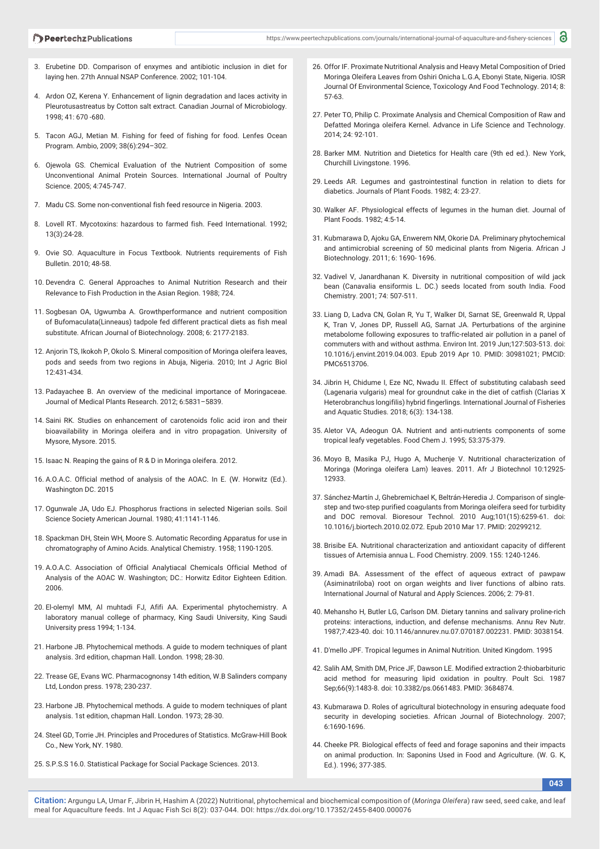- 3. Erubetine DD. Comparison of enxymes and antibiotic inclusion in diet for laying hen. 27th Annual NSAP Conference. 2002; 101-104.
- 4. Ardon OZ, Kerena Y. Enhancement of lignin degradation and laces activity in Pleurotusastreatus by Cotton salt extract. Canadian Journal of Microbiology. 1998; 41: 670 -680.
- 5. Tacon AGJ, Metian M. Fishing for feed of fishing for food. Lenfes Ocean Program. Ambio, 2009; 38(6):294–302.
- 6. Ojewola GS. Chemical Evaluation of the Nutrient Composition of some Unconventional Animal Protein Sources. International Journal of Poultry Science. 2005; 4:745-747.
- 7. Madu CS. Some non-conventional fish feed resource in Nigeria. 2003.
- 8. Lovell RT. Mycotoxins: hazardous to farmed fish. Feed International. 1992; 13(3):24-28.
- 9. Ovie SO. Aquaculture in Focus Textbook. Nutrients requirements of Fish Bulletin. 2010; 48-58.
- 10. Devendra C. General Approaches to Animal Nutrition Research and their Relevance to Fish Production in the Asian Region. 1988; 724.
- 11. Sogbesan OA, Ugwumba A. Growthperformance and nutrient composition of Bufomaculata(Linneaus) tadpole fed different practical diets as fish meal substitute. African Journal of Biotechnology. 2008; 6: 2177-2183.
- 12. Anjorin TS, Ikokoh P, Okolo S. Mineral composition of Moringa oleifera leaves, pods and seeds from two regions in Abuja, Nigeria. 2010; Int J Agric Biol 12:431-434.
- 13. Padayachee B. An overview of the medicinal importance of Moringaceae. Journal of Medical Plants Research. 2012; 6:5831–5839.
- 14. Saini RK. Studies on enhancement of carotenoids folic acid iron and their bioavailability in Moringa oleifera and in vitro propagation. University of Mysore, Mysore. 2015.
- 15. Isaac N. Reaping the gains of R & D in Moringa oleifera. 2012.
- 16. A.O.A.C. Official method of analysis of the AOAC. In E. (W. Horwitz (Ed.). Washington DC. 2015
- 17. Ogunwale JA, Udo EJ. Phosphorus fractions in selected Nigerian soils. Soil Science Society American Journal. 1980; 41:1141-1146.
- 18. Spackman DH, Stein WH, Moore S. Automatic Recording Apparatus for use in chromatography of Amino Acids. Analytical Chemistry. 1958; 1190-1205.
- 19. A.O.A.C. Association of Official Analytiacal Chemicals Official Method of Analysis of the AOAC W. Washington; DC.: Horwitz Editor Eighteen Edition. 2006.
- 20. El-olemyl MM, Al muhtadi FJ, Afifi AA. Experimental phytochemistry. A laboratory manual college of pharmacy, King Saudi University, King Saudi University press 1994; 1-134.
- 21. Harbone JB. Phytochemical methods. A guide to modern techniques of plant analysis. 3rd edition, chapman Hall. London. 1998; 28-30.
- 22. Trease GE, Evans WC. Pharmacognonsy 14th edition, W.B Salinders company Ltd, London press. 1978; 230-237.
- 23. Harbone JB. Phytochemical methods. A guide to modern techniques of plant analysis. 1st edition, chapman Hall. London. 1973; 28-30.
- 24. Steel GD, Torrie JH. Principles and Procedures of Statistics. McGraw-Hill Book Co., New York, NY. 1980.
- 25. S.P.S.S 16.0. Statistical Package for Social Package Sciences. 2013.
- 26. Offor IF. Proximate Nutritional Analysis and Heavy Metal Composition of Dried Moringa Oleifera Leaves from Oshiri Onicha L.G.A, Ebonyi State, Nigeria. IOSR Journal Of Environmental Science, Toxicology And Food Technology. 2014; 8: 57-63.
- 27. Peter TO, Philip C. Proximate Analysis and Chemical Composition of Raw and Defatted Moringa oleifera Kernel. Advance in Life Science and Technology. 2014; 24: 92-101.
- 28. Barker MM. Nutrition and Dietetics for Health care (9th ed ed.). New York, Churchill Livingstone. 1996.
- 29. Leeds AR. Legumes and gastrointestinal function in relation to diets for diabetics. Journals of Plant Foods. 1982; 4: 23-27.
- 30. Walker AF. Physiological effects of legumes in the human diet. Journal of Plant Foods. 1982; 4:5-14.
- 31. Kubmarawa D, Ajoku GA, Enwerem NM, Okorie DA. Preliminary phytochemical and antimicrobial screening of 50 medicinal plants from Nigeria. African J Biotechnology. 2011; 6: 1690- 1696.
- 32. Vadivel V, Janardhanan K. Diversity in nutritional composition of wild jack bean (Canavalia ensiformis L. DC.) seeds located from south India. Food Chemistry. 2001; 74: 507-511.
- 33. Liang D, Ladva CN, Golan R, Yu T, Walker DI, Sarnat SE, Greenwald R, Uppal K, Tran V, Jones DP, Russell AG, Sarnat JA. Perturbations of the arginine metabolome following exposures to traffic-related air pollution in a panel of commuters with and without asthma. Environ Int. 2019 Jun;127:503-513. doi: 10.1016/j.envint.2019.04.003. Epub 2019 Apr 10. PMID: 30981021; PMCID: PMC6513706.
- 34. Jibrin H, Chidume I, Eze NC, Nwadu II. Effect of substituting calabash seed (Lagenaria vulgaris) meal for groundnut cake in the diet of catfish (Clarias X Heterobranchus longifilis) hybrid fingerlings. International Journal of Fisheries and Aquatic Studies. 2018; 6(3): 134-138.
- 35. Aletor VA, Adeogun OA. Nutrient and anti-nutrients components of some tropical leafy vegetables. Food Chem J. 1995; 53:375-379.
- 36. Moyo B, Masika PJ, Hugo A, Muchenje V. Nutritional characterization of Moringa (Moringa oleifera Lam) leaves. 2011. Afr J Biotechnol 10:12925- 12933.
- 37. Sánchez-Martín J, Ghebremichael K, Beltrán-Heredia J. Comparison of singlestep and two-step purified coagulants from Moringa oleifera seed for turbidity and DOC removal. Bioresour Technol. 2010 Aug;101(15):6259-61. doi: 10.1016/j.biortech.2010.02.072. Epub 2010 Mar 17. PMID: 20299212.
- 38. Brisibe EA. Nutritional characterization and antioxidant capacity of different tissues of Artemisia annua L. Food Chemistry. 2009. 155: 1240-1246.
- 39. Amadi BA. Assessment of the effect of aqueous extract of pawpaw (Asiminatriloba) root on organ weights and liver functions of albino rats. International Journal of Natural and Apply Sciences. 2006; 2: 79-81.
- 40. Mehansho H, Butler LG, Carlson DM. Dietary tannins and salivary proline-rich proteins: interactions, induction, and defense mechanisms. Annu Rev Nutr. 1987;7:423-40. doi: 10.1146/annurev.nu.07.070187.002231. PMID: 3038154.
- 41. D'mello JPF. Tropical legumes in Animal Nutrition. United Kingdom. 1995
- 42. Salih AM, Smith DM, Price JF, Dawson LE. Modified extraction 2-thiobarbituric acid method for measuring lipid oxidation in poultry. Poult Sci. 1987 Sep;66(9):1483-8. doi: 10.3382/ps.0661483. PMID: 3684874.
- 43. Kubmarawa D. Roles of agricultural biotechnology in ensuring adequate food security in developing societies. African Journal of Biotechnology. 2007; 6:1690-1696.
- 44. Cheeke PR. Biological effects of feed and forage saponins and their impacts on animal production. In: Saponins Used in Food and Agriculture. (W. G. K, Ed.). 1996; 377-385.

**043**